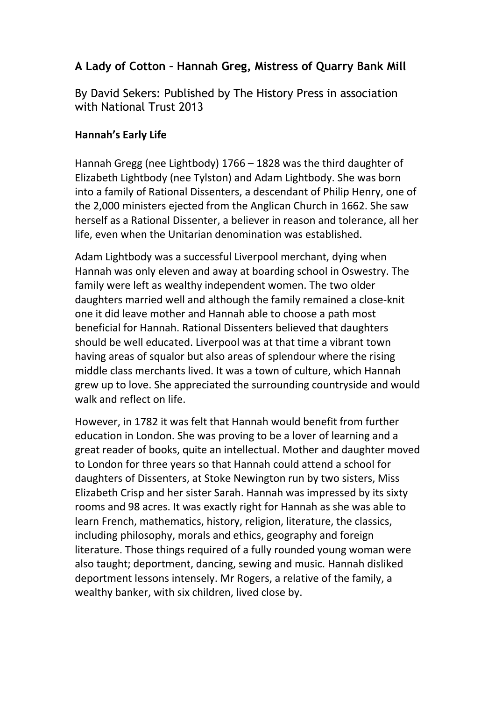# A Lady of Cotton – Hannah Greg, Mistress of Quarry Bank Mill

By David Sekers: Published by The History Press in association with National Trust 2013

# Hannah's Early Life

Hannah Gregg (nee Lightbody) 1766 – 1828 was the third daughter of Elizabeth Lightbody (nee Tylston) and Adam Lightbody. She was born into a family of Rational Dissenters, a descendant of Philip Henry, one of the 2,000 ministers ejected from the Anglican Church in 1662. She saw herself as a Rational Dissenter, a believer in reason and tolerance, all her life, even when the Unitarian denomination was established.

Adam Lightbody was a successful Liverpool merchant, dying when Hannah was only eleven and away at boarding school in Oswestry. The family were left as wealthy independent women. The two older daughters married well and although the family remained a close-knit one it did leave mother and Hannah able to choose a path most beneficial for Hannah. Rational Dissenters believed that daughters should be well educated. Liverpool was at that time a vibrant town having areas of squalor but also areas of splendour where the rising middle class merchants lived. It was a town of culture, which Hannah grew up to love. She appreciated the surrounding countryside and would walk and reflect on life.

However, in 1782 it was felt that Hannah would benefit from further education in London. She was proving to be a lover of learning and a great reader of books, quite an intellectual. Mother and daughter moved to London for three years so that Hannah could attend a school for daughters of Dissenters, at Stoke Newington run by two sisters, Miss Elizabeth Crisp and her sister Sarah. Hannah was impressed by its sixty rooms and 98 acres. It was exactly right for Hannah as she was able to learn French, mathematics, history, religion, literature, the classics, including philosophy, morals and ethics, geography and foreign literature. Those things required of a fully rounded young woman were also taught; deportment, dancing, sewing and music. Hannah disliked deportment lessons intensely. Mr Rogers, a relative of the family, a wealthy banker, with six children, lived close by.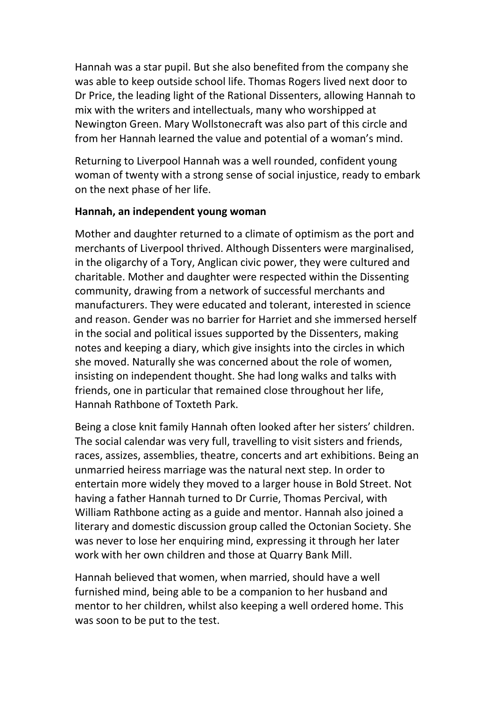Hannah was a star pupil. But she also benefited from the company she was able to keep outside school life. Thomas Rogers lived next door to Dr Price, the leading light of the Rational Dissenters, allowing Hannah to mix with the writers and intellectuals, many who worshipped at Newington Green. Mary Wollstonecraft was also part of this circle and from her Hannah learned the value and potential of a woman's mind.

Returning to Liverpool Hannah was a well rounded, confident young woman of twenty with a strong sense of social injustice, ready to embark on the next phase of her life.

#### Hannah, an independent young woman

Mother and daughter returned to a climate of optimism as the port and merchants of Liverpool thrived. Although Dissenters were marginalised, in the oligarchy of a Tory, Anglican civic power, they were cultured and charitable. Mother and daughter were respected within the Dissenting community, drawing from a network of successful merchants and manufacturers. They were educated and tolerant, interested in science and reason. Gender was no barrier for Harriet and she immersed herself in the social and political issues supported by the Dissenters, making notes and keeping a diary, which give insights into the circles in which she moved. Naturally she was concerned about the role of women, insisting on independent thought. She had long walks and talks with friends, one in particular that remained close throughout her life, Hannah Rathbone of Toxteth Park.

Being a close knit family Hannah often looked after her sisters' children. The social calendar was very full, travelling to visit sisters and friends, races, assizes, assemblies, theatre, concerts and art exhibitions. Being an unmarried heiress marriage was the natural next step. In order to entertain more widely they moved to a larger house in Bold Street. Not having a father Hannah turned to Dr Currie, Thomas Percival, with William Rathbone acting as a guide and mentor. Hannah also joined a literary and domestic discussion group called the Octonian Society. She was never to lose her enquiring mind, expressing it through her later work with her own children and those at Quarry Bank Mill.

Hannah believed that women, when married, should have a well furnished mind, being able to be a companion to her husband and mentor to her children, whilst also keeping a well ordered home. This was soon to be put to the test.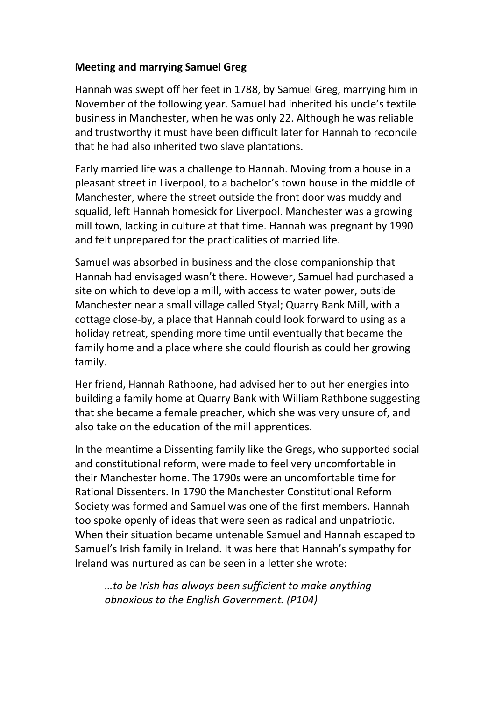### Meeting and marrying Samuel Greg

Hannah was swept off her feet in 1788, by Samuel Greg, marrying him in November of the following year. Samuel had inherited his uncle's textile business in Manchester, when he was only 22. Although he was reliable and trustworthy it must have been difficult later for Hannah to reconcile that he had also inherited two slave plantations.

Early married life was a challenge to Hannah. Moving from a house in a pleasant street in Liverpool, to a bachelor's town house in the middle of Manchester, where the street outside the front door was muddy and squalid, left Hannah homesick for Liverpool. Manchester was a growing mill town, lacking in culture at that time. Hannah was pregnant by 1990 and felt unprepared for the practicalities of married life.

Samuel was absorbed in business and the close companionship that Hannah had envisaged wasn't there. However, Samuel had purchased a site on which to develop a mill, with access to water power, outside Manchester near a small village called Styal; Quarry Bank Mill, with a cottage close-by, a place that Hannah could look forward to using as a holiday retreat, spending more time until eventually that became the family home and a place where she could flourish as could her growing family.

Her friend, Hannah Rathbone, had advised her to put her energies into building a family home at Quarry Bank with William Rathbone suggesting that she became a female preacher, which she was very unsure of, and also take on the education of the mill apprentices.

In the meantime a Dissenting family like the Gregs, who supported social and constitutional reform, were made to feel very uncomfortable in their Manchester home. The 1790s were an uncomfortable time for Rational Dissenters. In 1790 the Manchester Constitutional Reform Society was formed and Samuel was one of the first members. Hannah too spoke openly of ideas that were seen as radical and unpatriotic. When their situation became untenable Samuel and Hannah escaped to Samuel's Irish family in Ireland. It was here that Hannah's sympathy for Ireland was nurtured as can be seen in a letter she wrote:

…to be Irish has always been sufficient to make anything obnoxious to the English Government. (P104)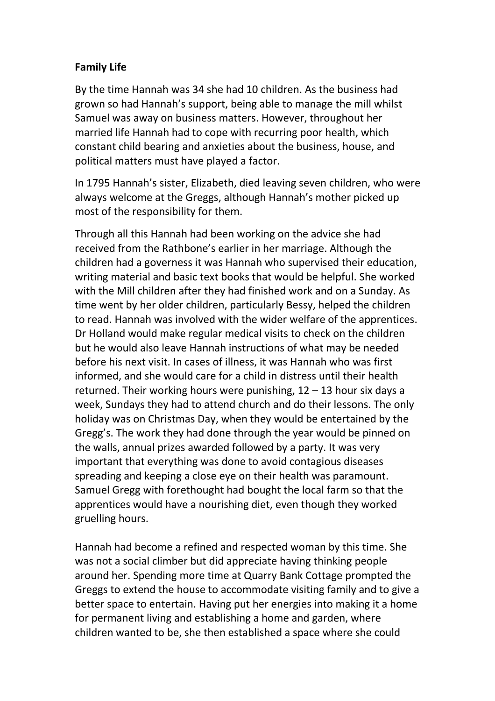## Family Life

By the time Hannah was 34 she had 10 children. As the business had grown so had Hannah's support, being able to manage the mill whilst Samuel was away on business matters. However, throughout her married life Hannah had to cope with recurring poor health, which constant child bearing and anxieties about the business, house, and political matters must have played a factor.

In 1795 Hannah's sister, Elizabeth, died leaving seven children, who were always welcome at the Greggs, although Hannah's mother picked up most of the responsibility for them.

Through all this Hannah had been working on the advice she had received from the Rathbone's earlier in her marriage. Although the children had a governess it was Hannah who supervised their education, writing material and basic text books that would be helpful. She worked with the Mill children after they had finished work and on a Sunday. As time went by her older children, particularly Bessy, helped the children to read. Hannah was involved with the wider welfare of the apprentices. Dr Holland would make regular medical visits to check on the children but he would also leave Hannah instructions of what may be needed before his next visit. In cases of illness, it was Hannah who was first informed, and she would care for a child in distress until their health returned. Their working hours were punishing, 12 – 13 hour six days a week, Sundays they had to attend church and do their lessons. The only holiday was on Christmas Day, when they would be entertained by the Gregg's. The work they had done through the year would be pinned on the walls, annual prizes awarded followed by a party. It was very important that everything was done to avoid contagious diseases spreading and keeping a close eye on their health was paramount. Samuel Gregg with forethought had bought the local farm so that the apprentices would have a nourishing diet, even though they worked gruelling hours.

Hannah had become a refined and respected woman by this time. She was not a social climber but did appreciate having thinking people around her. Spending more time at Quarry Bank Cottage prompted the Greggs to extend the house to accommodate visiting family and to give a better space to entertain. Having put her energies into making it a home for permanent living and establishing a home and garden, where children wanted to be, she then established a space where she could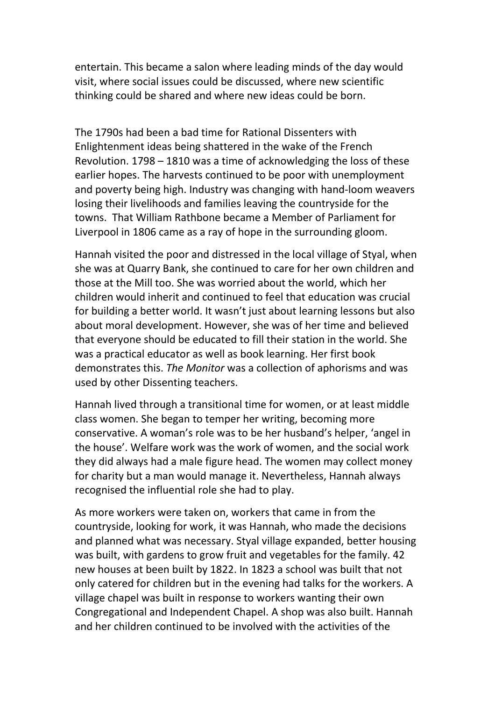entertain. This became a salon where leading minds of the day would visit, where social issues could be discussed, where new scientific thinking could be shared and where new ideas could be born.

The 1790s had been a bad time for Rational Dissenters with Enlightenment ideas being shattered in the wake of the French Revolution. 1798 – 1810 was a time of acknowledging the loss of these earlier hopes. The harvests continued to be poor with unemployment and poverty being high. Industry was changing with hand-loom weavers losing their livelihoods and families leaving the countryside for the towns. That William Rathbone became a Member of Parliament for Liverpool in 1806 came as a ray of hope in the surrounding gloom.

Hannah visited the poor and distressed in the local village of Styal, when she was at Quarry Bank, she continued to care for her own children and those at the Mill too. She was worried about the world, which her children would inherit and continued to feel that education was crucial for building a better world. It wasn't just about learning lessons but also about moral development. However, she was of her time and believed that everyone should be educated to fill their station in the world. She was a practical educator as well as book learning. Her first book demonstrates this. The Monitor was a collection of aphorisms and was used by other Dissenting teachers.

Hannah lived through a transitional time for women, or at least middle class women. She began to temper her writing, becoming more conservative. A woman's role was to be her husband's helper, 'angel in the house'. Welfare work was the work of women, and the social work they did always had a male figure head. The women may collect money for charity but a man would manage it. Nevertheless, Hannah always recognised the influential role she had to play.

As more workers were taken on, workers that came in from the countryside, looking for work, it was Hannah, who made the decisions and planned what was necessary. Styal village expanded, better housing was built, with gardens to grow fruit and vegetables for the family. 42 new houses at been built by 1822. In 1823 a school was built that not only catered for children but in the evening had talks for the workers. A village chapel was built in response to workers wanting their own Congregational and Independent Chapel. A shop was also built. Hannah and her children continued to be involved with the activities of the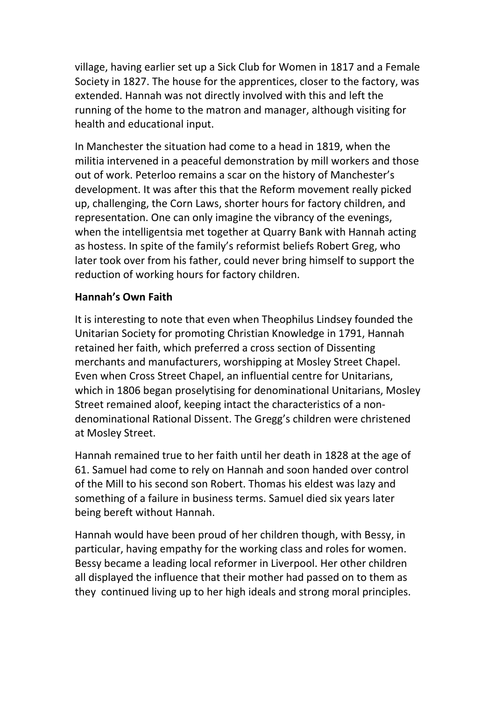village, having earlier set up a Sick Club for Women in 1817 and a Female Society in 1827. The house for the apprentices, closer to the factory, was extended. Hannah was not directly involved with this and left the running of the home to the matron and manager, although visiting for health and educational input.

In Manchester the situation had come to a head in 1819, when the militia intervened in a peaceful demonstration by mill workers and those out of work. Peterloo remains a scar on the history of Manchester's development. It was after this that the Reform movement really picked up, challenging, the Corn Laws, shorter hours for factory children, and representation. One can only imagine the vibrancy of the evenings, when the intelligentsia met together at Quarry Bank with Hannah acting as hostess. In spite of the family's reformist beliefs Robert Greg, who later took over from his father, could never bring himself to support the reduction of working hours for factory children.

## Hannah's Own Faith

It is interesting to note that even when Theophilus Lindsey founded the Unitarian Society for promoting Christian Knowledge in 1791, Hannah retained her faith, which preferred a cross section of Dissenting merchants and manufacturers, worshipping at Mosley Street Chapel. Even when Cross Street Chapel, an influential centre for Unitarians, which in 1806 began proselytising for denominational Unitarians, Mosley Street remained aloof, keeping intact the characteristics of a nondenominational Rational Dissent. The Gregg's children were christened at Mosley Street.

Hannah remained true to her faith until her death in 1828 at the age of 61. Samuel had come to rely on Hannah and soon handed over control of the Mill to his second son Robert. Thomas his eldest was lazy and something of a failure in business terms. Samuel died six years later being bereft without Hannah.

Hannah would have been proud of her children though, with Bessy, in particular, having empathy for the working class and roles for women. Bessy became a leading local reformer in Liverpool. Her other children all displayed the influence that their mother had passed on to them as they continued living up to her high ideals and strong moral principles.